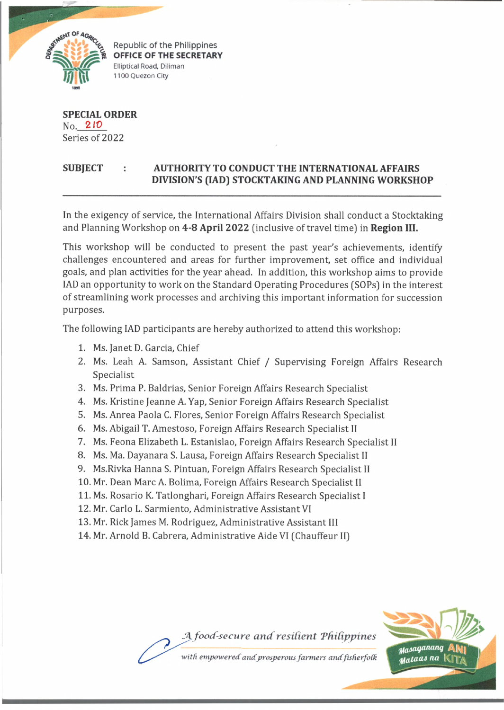

Republic of the Philippines **OFFICE OF THE SECRETARY Elliptical Road, Diliman 1100 Quezon City**

**SPECIAL ORDER** No. 2 *10* Series of 2022

## **SUBJECT : AUTHORITY TO CONDUCT THE INTERNATIONAL AFFAIRS DIVISION'S (IAD) STOCKTAKING AND PLANNING WORKSHOP**

In the exigency of service, the International Affairs Division shall conduct a Stocktaking and Planning Workshop on **4-8 April 2022** (inclusive of travel time) in **Region III.**

This workshop will be conducted to present the past year's achievements, identify challenges encountered and areas for further improvement, set office and individual goals, and plan activities for the year ahead. In addition, this workshop aims to provide IAD an opportunity to work on the Standard Operating Procedures (SOPs) in the interest of streamlining work processes and archiving this important information for succession purposes.

The following IAD participants are hereby authorized to attend this workshop:

- 1. Ms. Janet D. Garcia, Chief
- 2. Ms. Leah A. Samson, Assistant Chief / Supervising Foreign Affairs Research Specialist
- 3. Ms. Prima P. Baldrias, Senior Foreign Affairs Research Specialist
- 4. Ms. Kristine Jeanne A. Yap, Senior Foreign Affairs Research Specialist
- 5. Ms. Anrea Paola C. Flores, Senior Foreign Affairs Research Specialist
- 6. Ms. Abigail T. Amestoso, Foreign Affairs Research Specialist II
- 7. Ms. Feona Elizabeth L. Estanislao, Foreign Affairs Research Specialist II
- 8. Ms. Ma. Dayanara S. Lausa, Foreign Affairs Research Specialist II
- 9. Ms.Rivka Hanna S. Pintuan, Foreign Affairs Research Specialist II
- 10. Mr. Dean Marc A. Bolima, Foreign Affairs Research Specialist II
- 11. Ms. Rosario K. Tatlonghari, Foreign Affairs Research Specialist I
- 12. Mr. Carlo L. Sarmiento, Administrative Assistant VI
- 13. Mr. Rick James M. Rodriguez, Administrative Assistant III
- 14. Mr. Arnold B. Cabrera, Administrative Aide VI (Chauffeur II)



with empowered and prosperous farmers and fisherfolk